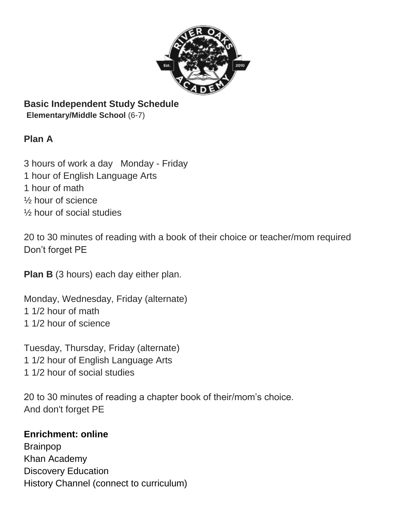

# **Basic Independent Study Schedule**

**Elementary/Middle School** (6-7)

## **Plan A**

3 hours of work a day Monday - Friday 1 hour of English Language Arts 1 hour of math ½ hour of science ½ hour of social studies

20 to 30 minutes of reading with a book of their choice or teacher/mom required Don't forget PE

**Plan B** (3 hours) each day either plan.

Monday, Wednesday, Friday (alternate) 1 1/2 hour of math 1 1/2 hour of science

Tuesday, Thursday, Friday (alternate) 1 1/2 hour of English Language Arts 1 1/2 hour of social studies

20 to 30 minutes of reading a chapter book of their/mom's choice. And don't forget PE

#### **Enrichment: online**

Brainpop Khan Academy Discovery Education History Channel (connect to curriculum)